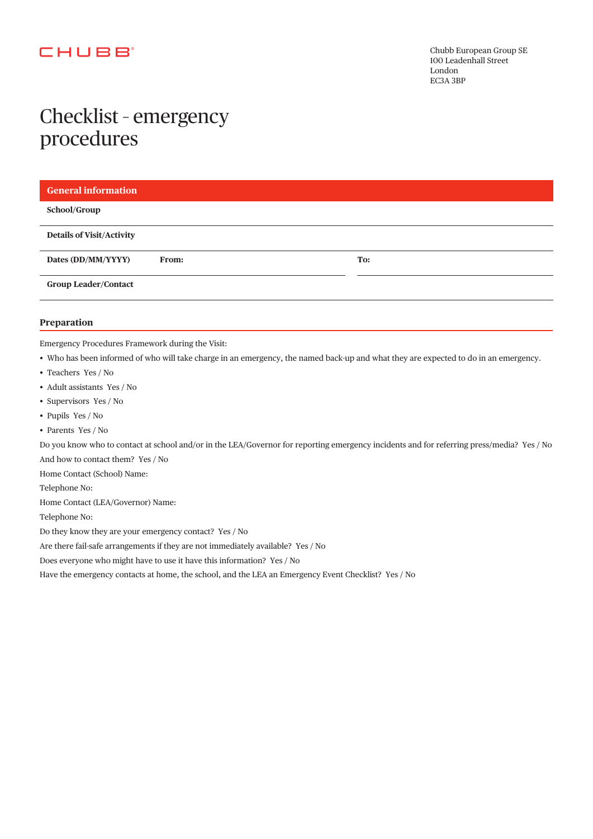### **CHUBB**

# Checklist – emergency procedures

| <b>General information</b>         |     |
|------------------------------------|-----|
| School/Group                       |     |
| <b>Details of Visit/Activity</b>   |     |
| Dates (DD/MM/YYYY)<br><b>From:</b> | To: |
| <b>Group Leader/Contact</b>        |     |
|                                    |     |

#### **Preparation**

Emergency Procedures Framework during the Visit:

- Who has been informed of who will take charge in an emergency, the named back-up and what they are expected to do in an emergency.
- Teachers Yes / No
- Adult assistants Yes / No
- Supervisors Yes / No
- Pupils Yes / No
- Parents Yes / No

Do you know who to contact at school and/or in the LEA/Governor for reporting emergency incidents and for referring press/media? Yes / No And how to contact them? Yes / No

Home Contact (School) Name:

Telephone No:

Home Contact (LEA/Governor) Name:

Telephone No:

Do they know they are your emergency contact? Yes / No

Are there fail-safe arrangements if they are not immediately available? Yes / No

Does everyone who might have to use it have this information? Yes / No

Have the emergency contacts at home, the school, and the LEA an Emergency Event Checklist? Yes / No